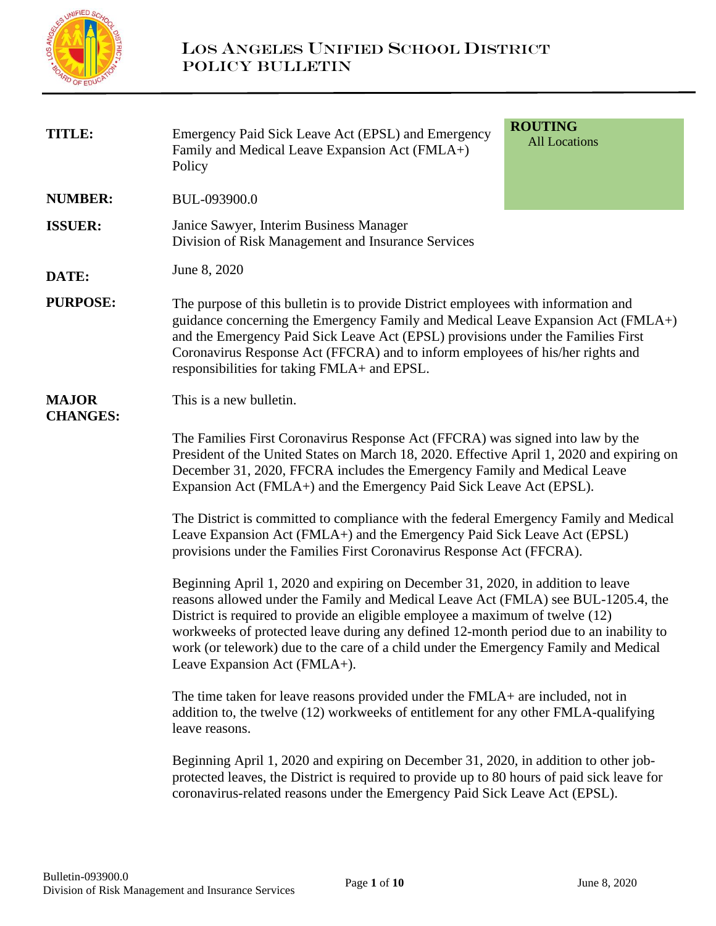

| <b>TITLE:</b>                   | Emergency Paid Sick Leave Act (EPSL) and Emergency<br>Family and Medical Leave Expansion Act (FMLA+)<br>Policy                                                                                                                                                                                                                                                                                                                                                          | <b>ROUTING</b><br><b>All Locations</b>                                                                                                                                                                                                                                                                                                       |  |  |  |  |
|---------------------------------|-------------------------------------------------------------------------------------------------------------------------------------------------------------------------------------------------------------------------------------------------------------------------------------------------------------------------------------------------------------------------------------------------------------------------------------------------------------------------|----------------------------------------------------------------------------------------------------------------------------------------------------------------------------------------------------------------------------------------------------------------------------------------------------------------------------------------------|--|--|--|--|
| <b>NUMBER:</b>                  | BUL-093900.0                                                                                                                                                                                                                                                                                                                                                                                                                                                            |                                                                                                                                                                                                                                                                                                                                              |  |  |  |  |
| <b>ISSUER:</b>                  | Janice Sawyer, Interim Business Manager<br>Division of Risk Management and Insurance Services                                                                                                                                                                                                                                                                                                                                                                           |                                                                                                                                                                                                                                                                                                                                              |  |  |  |  |
| DATE:                           | June 8, 2020                                                                                                                                                                                                                                                                                                                                                                                                                                                            |                                                                                                                                                                                                                                                                                                                                              |  |  |  |  |
| <b>PURPOSE:</b>                 | responsibilities for taking FMLA+ and EPSL.                                                                                                                                                                                                                                                                                                                                                                                                                             | The purpose of this bulletin is to provide District employees with information and<br>guidance concerning the Emergency Family and Medical Leave Expansion Act (FMLA+)<br>and the Emergency Paid Sick Leave Act (EPSL) provisions under the Families First<br>Coronavirus Response Act (FFCRA) and to inform employees of his/her rights and |  |  |  |  |
| <b>MAJOR</b><br><b>CHANGES:</b> | This is a new bulletin.                                                                                                                                                                                                                                                                                                                                                                                                                                                 |                                                                                                                                                                                                                                                                                                                                              |  |  |  |  |
|                                 | The Families First Coronavirus Response Act (FFCRA) was signed into law by the<br>President of the United States on March 18, 2020. Effective April 1, 2020 and expiring on<br>December 31, 2020, FFCRA includes the Emergency Family and Medical Leave<br>Expansion Act (FMLA+) and the Emergency Paid Sick Leave Act (EPSL).                                                                                                                                          |                                                                                                                                                                                                                                                                                                                                              |  |  |  |  |
|                                 | The District is committed to compliance with the federal Emergency Family and Medical<br>Leave Expansion Act (FMLA+) and the Emergency Paid Sick Leave Act (EPSL)<br>provisions under the Families First Coronavirus Response Act (FFCRA).                                                                                                                                                                                                                              |                                                                                                                                                                                                                                                                                                                                              |  |  |  |  |
|                                 | Beginning April 1, 2020 and expiring on December 31, 2020, in addition to leave<br>reasons allowed under the Family and Medical Leave Act (FMLA) see BUL-1205.4, the<br>District is required to provide an eligible employee a maximum of twelve (12)<br>workweeks of protected leave during any defined 12-month period due to an inability to<br>work (or telework) due to the care of a child under the Emergency Family and Medical<br>Leave Expansion Act (FMLA+). |                                                                                                                                                                                                                                                                                                                                              |  |  |  |  |
|                                 | The time taken for leave reasons provided under the FMLA+ are included, not in<br>addition to, the twelve (12) workweeks of entitlement for any other FMLA-qualifying<br>leave reasons.                                                                                                                                                                                                                                                                                 |                                                                                                                                                                                                                                                                                                                                              |  |  |  |  |
|                                 | Beginning April 1, 2020 and expiring on December 31, 2020, in addition to other job-<br>protected leaves, the District is required to provide up to 80 hours of paid sick leave for<br>coronavirus-related reasons under the Emergency Paid Sick Leave Act (EPSL).                                                                                                                                                                                                      |                                                                                                                                                                                                                                                                                                                                              |  |  |  |  |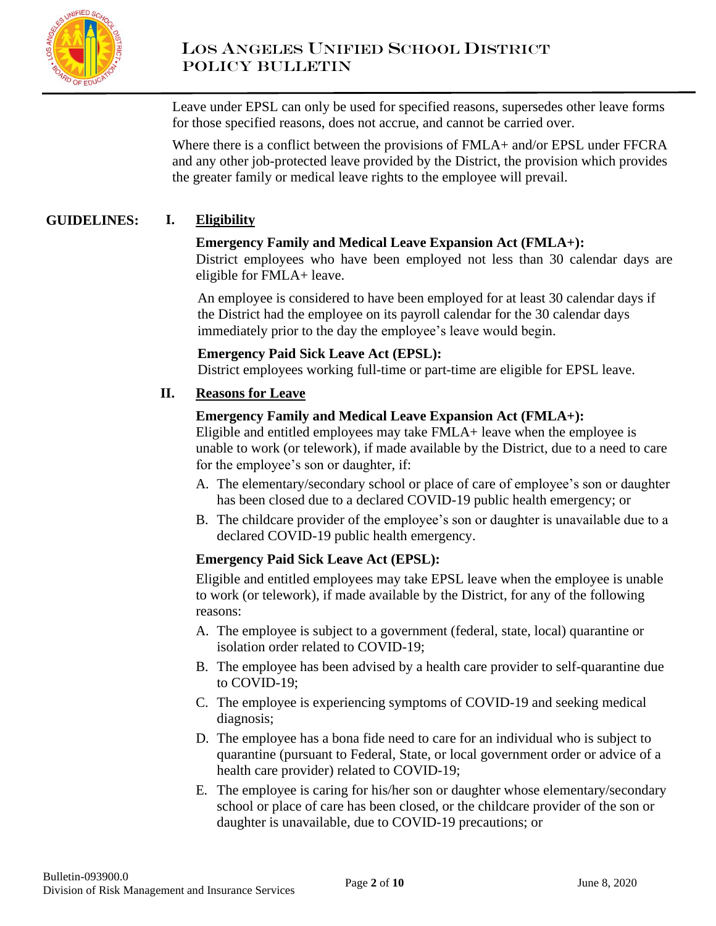

Leave under EPSL can only be used for specified reasons, supersedes other leave forms for those specified reasons, does not accrue, and cannot be carried over.

Where there is a conflict between the provisions of FMLA+ and/or EPSL under FFCRA and any other job-protected leave provided by the District, the provision which provides the greater family or medical leave rights to the employee will prevail.

#### **GUIDELINES: I. Eligibility**

### **Emergency Family and Medical Leave Expansion Act (FMLA+):**

District employees who have been employed not less than 30 calendar days are eligible for FMLA+ leave.

An employee is considered to have been employed for at least 30 calendar days if the District had the employee on its payroll calendar for the 30 calendar days immediately prior to the day the employee's leave would begin.

### **Emergency Paid Sick Leave Act (EPSL):**

District employees working full-time or part-time are eligible for EPSL leave.

### **II. Reasons for Leave**

### **Emergency Family and Medical Leave Expansion Act (FMLA+):**

Eligible and entitled employees may take FMLA+ leave when the employee is unable to work (or telework), if made available by the District, due to a need to care for the employee's son or daughter, if:

- A. The elementary/secondary school or place of care of employee's son or daughter has been closed due to a declared COVID-19 public health emergency; or
- B. The childcare provider of the employee's son or daughter is unavailable due to a declared COVID-19 public health emergency.

### **Emergency Paid Sick Leave Act (EPSL):**

Eligible and entitled employees may take EPSL leave when the employee is unable to work (or telework), if made available by the District, for any of the following reasons:

- A. The employee is subject to a government (federal, state, local) quarantine or isolation order related to COVID-19;
- B. The employee has been advised by a health care provider to self-quarantine due to COVID-19;
- C. The employee is experiencing symptoms of COVID-19 and seeking medical diagnosis;
- D. The employee has a bona fide need to care for an individual who is subject to quarantine (pursuant to Federal, State, or local government order or advice of a health care provider) related to COVID-19;
- E. The employee is caring for his/her son or daughter whose elementary/secondary school or place of care has been closed, or the childcare provider of the son or daughter is unavailable, due to COVID-19 precautions; or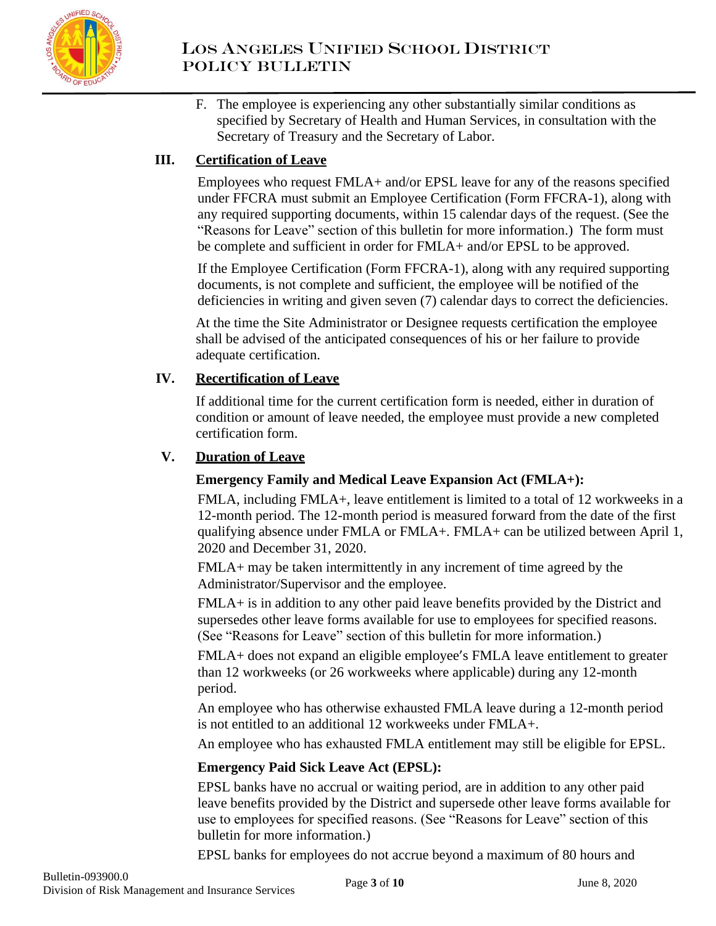

F. The employee is experiencing any other substantially similar conditions as specified by Secretary of Health and Human Services, in consultation with the Secretary of Treasury and the Secretary of Labor.

# **III. Certification of Leave**

Employees who request FMLA+ and/or EPSL leave for any of the reasons specified under FFCRA must submit an Employee Certification (Form FFCRA-1), along with any required supporting documents, within 15 calendar days of the request. (See the "Reasons for Leave" section of this bulletin for more information.) The form must be complete and sufficient in order for FMLA+ and/or EPSL to be approved.

If the Employee Certification (Form FFCRA-1), along with any required supporting documents, is not complete and sufficient, the employee will be notified of the deficiencies in writing and given seven (7) calendar days to correct the deficiencies.

At the time the Site Administrator or Designee requests certification the employee shall be advised of the anticipated consequences of his or her failure to provide adequate certification.

# **IV. Recertification of Leave**

If additional time for the current certification form is needed, either in duration of condition or amount of leave needed, the employee must provide a new completed certification form.

# **V. Duration of Leave**

## **Emergency Family and Medical Leave Expansion Act (FMLA+):**

FMLA, including FMLA+, leave entitlement is limited to a total of 12 workweeks in a 12-month period. The 12-month period is measured forward from the date of the first qualifying absence under FMLA or FMLA+. FMLA+ can be utilized between April 1, 2020 and December 31, 2020.

FMLA+ may be taken intermittently in any increment of time agreed by the Administrator/Supervisor and the employee.

FMLA+ is in addition to any other paid leave benefits provided by the District and supersedes other leave forms available for use to employees for specified reasons. (See "Reasons for Leave" section of this bulletin for more information.)

FMLA+ does not expand an eligible employee's FMLA leave entitlement to greater than 12 workweeks (or 26 workweeks where applicable) during any 12-month period.

An employee who has otherwise exhausted FMLA leave during a 12-month period is not entitled to an additional 12 workweeks under FMLA+.

An employee who has exhausted FMLA entitlement may still be eligible for EPSL.

## **Emergency Paid Sick Leave Act (EPSL):**

EPSL banks have no accrual or waiting period, are in addition to any other paid leave benefits provided by the District and supersede other leave forms available for use to employees for specified reasons. (See "Reasons for Leave" section of this bulletin for more information.)

EPSL banks for employees do not accrue beyond a maximum of 80 hours and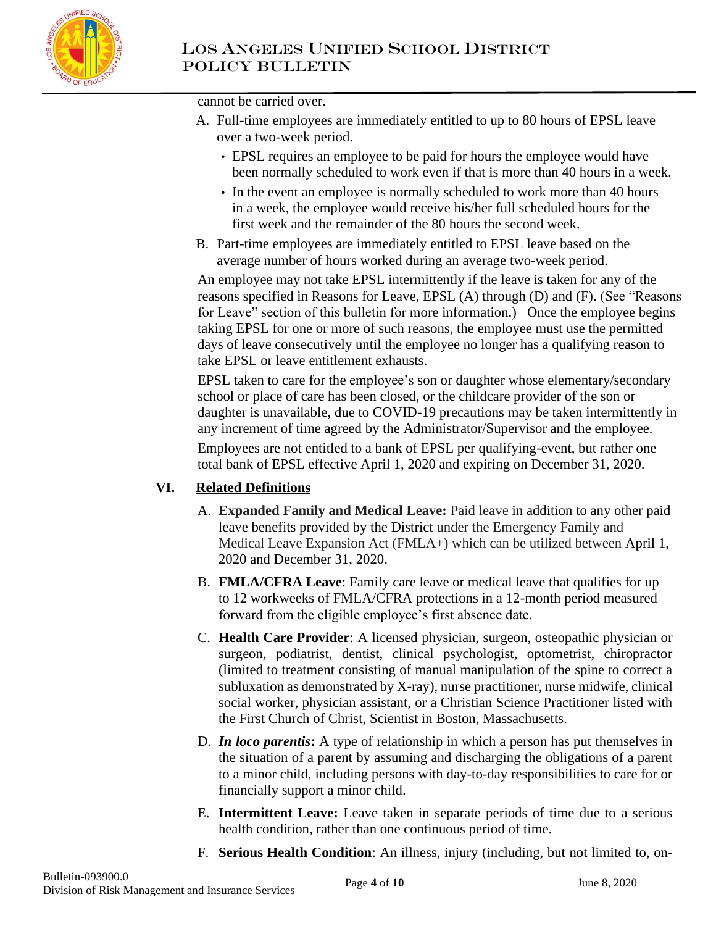

cannot be carried over.

- A. Full-time employees are immediately entitled to up to 80 hours of EPSL leave over a two-week period.
	- EPSL requires an employee to be paid for hours the employee would have been normally scheduled to work even if that is more than 40 hours in a week.
	- In the event an employee is normally scheduled to work more than 40 hours in a week, the employee would receive his/her full scheduled hours for the first week and the remainder of the 80 hours the second week.
- B. Part-time employees are immediately entitled to EPSL leave based on the average number of hours worked during an average two-week period.

An employee may not take EPSL intermittently if the leave is taken for any of the reasons specified in Reasons for Leave, EPSL (A) through (D) and (F). (See "Reasons for Leave" section of this bulletin for more information.) Once the employee begins taking EPSL for one or more of such reasons, the employee must use the permitted days of leave consecutively until the employee no longer has a qualifying reason to take EPSL or leave entitlement exhausts.

EPSL taken to care for the employee's son or daughter whose elementary/secondary school or place of care has been closed, or the childcare provider of the son or daughter is unavailable, due to COVID-19 precautions may be taken intermittently in any increment of time agreed by the Administrator/Supervisor and the employee.

Employees are not entitled to a bank of EPSL per qualifying-event, but rather one total bank of EPSL effective April 1, 2020 and expiring on December 31, 2020.

## **VI. Related Definitions**

- A. **Expanded Family and Medical Leave:** Paid leave in addition to any other paid leave benefits provided by the District under the Emergency Family and Medical Leave Expansion Act (FMLA+) which can be utilized between April 1, 2020 and December 31, 2020.
- B. **FMLA/CFRA Leave**: Family care leave or medical leave that qualifies for up to 12 workweeks of FMLA/CFRA protections in a 12-month period measured forward from the eligible employee's first absence date.
- C. **Health Care Provider**: A licensed physician, surgeon, osteopathic physician or surgeon, podiatrist, dentist, clinical psychologist, optometrist, chiropractor (limited to treatment consisting of manual manipulation of the spine to correct a subluxation as demonstrated by X-ray), nurse practitioner, nurse midwife, clinical social worker, physician assistant, or a Christian Science Practitioner listed with the First Church of Christ, Scientist in Boston, Massachusetts.
- D. *In loco parentis***:** A type of relationship in which a person has put themselves in the situation of a parent by assuming and discharging the obligations of a parent to a minor child, including persons with day-to-day responsibilities to care for or financially support a minor child.
- E. **Intermittent Leave:** Leave taken in separate periods of time due to a serious health condition, rather than one continuous period of time.
- F. **Serious Health Condition**: An illness, injury (including, but not limited to, on-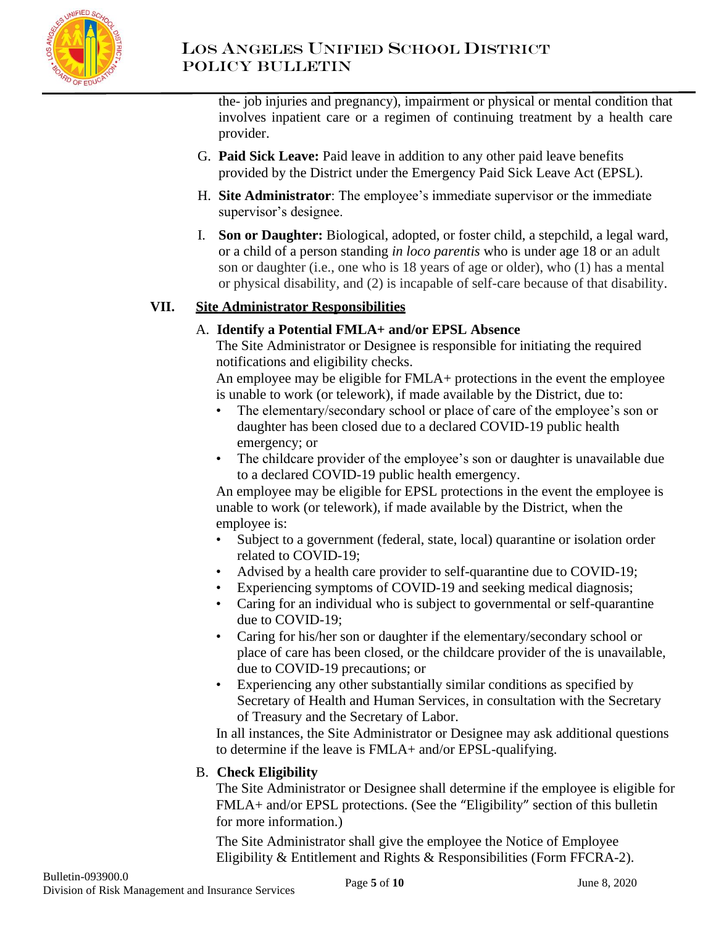

the- job injuries and pregnancy), impairment or physical or mental condition that involves inpatient care or a regimen of continuing treatment by a health care provider.

- G. **Paid Sick Leave:** Paid leave in addition to any other paid leave benefits provided by the District under the Emergency Paid Sick Leave Act (EPSL).
- H. **Site Administrator**: The employee's immediate supervisor or the immediate supervisor's designee.
- I. **Son or Daughter:** Biological, adopted, or foster child, a stepchild, a legal ward, or a child of a person standing *in loco parentis* who is under age 18 or an adult son or daughter (i.e., one who is 18 years of age or older), who (1) has a mental or physical disability, and (2) is incapable of self-care because of that disability.

# **VII. Site Administrator Responsibilities**

## A. **Identify a Potential FMLA+ and/or EPSL Absence**

The Site Administrator or Designee is responsible for initiating the required notifications and eligibility checks.

An employee may be eligible for FMLA+ protections in the event the employee is unable to work (or telework), if made available by the District, due to:

- The elementary/secondary school or place of care of the employee's son or daughter has been closed due to a declared COVID-19 public health emergency; or
- The childcare provider of the employee's son or daughter is unavailable due to a declared COVID-19 public health emergency.

An employee may be eligible for EPSL protections in the event the employee is unable to work (or telework), if made available by the District, when the employee is:

- Subject to a government (federal, state, local) quarantine or isolation order related to COVID-19;
- Advised by a health care provider to self-quarantine due to COVID-19;
- Experiencing symptoms of COVID-19 and seeking medical diagnosis;
- Caring for an individual who is subject to governmental or self-quarantine due to COVID-19;
- Caring for his/her son or daughter if the elementary/secondary school or place of care has been closed, or the childcare provider of the is unavailable, due to COVID-19 precautions; or
- Experiencing any other substantially similar conditions as specified by Secretary of Health and Human Services, in consultation with the Secretary of Treasury and the Secretary of Labor.

In all instances, the Site Administrator or Designee may ask additional questions to determine if the leave is FMLA+ and/or EPSL-qualifying.

# B. **Check Eligibility**

The Site Administrator or Designee shall determine if the employee is eligible for FMLA+ and/or EPSL protections. (See the "Eligibility" section of this bulletin for more information.)

The Site Administrator shall give the employee the Notice of Employee Eligibility & Entitlement and Rights & Responsibilities (Form FFCRA-2).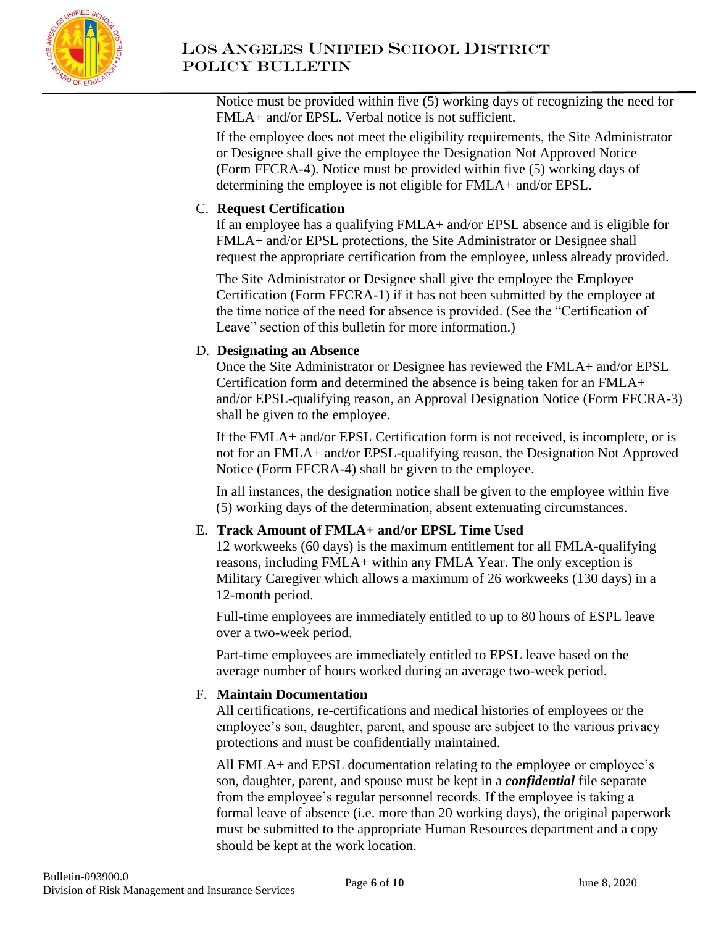

Notice must be provided within five (5) working days of recognizing the need for FMLA+ and/or EPSL. Verbal notice is not sufficient.

If the employee does not meet the eligibility requirements, the Site Administrator or Designee shall give the employee the Designation Not Approved Notice (Form FFCRA-4). Notice must be provided within five (5) working days of determining the employee is not eligible for FMLA+ and/or EPSL.

# C. **Request Certification**

If an employee has a qualifying FMLA+ and/or EPSL absence and is eligible for FMLA+ and/or EPSL protections, the Site Administrator or Designee shall request the appropriate certification from the employee, unless already provided.

The Site Administrator or Designee shall give the employee the Employee Certification (Form FFCRA-1) if it has not been submitted by the employee at the time notice of the need for absence is provided. (See the "Certification of Leave" section of this bulletin for more information.)

### D. **Designating an Absence**

Once the Site Administrator or Designee has reviewed the FMLA+ and/or EPSL Certification form and determined the absence is being taken for an FMLA+ and/or EPSL-qualifying reason, an Approval Designation Notice (Form FFCRA-3) shall be given to the employee.

If the FMLA+ and/or EPSL Certification form is not received, is incomplete, or is not for an FMLA+ and/or EPSL-qualifying reason, the Designation Not Approved Notice (Form FFCRA-4) shall be given to the employee.

In all instances, the designation notice shall be given to the employee within five (5) working days of the determination, absent extenuating circumstances.

## E. **Track Amount of FMLA+ and/or EPSL Time Used**

12 workweeks (60 days) is the maximum entitlement for all FMLA-qualifying reasons, including FMLA+ within any FMLA Year. The only exception is Military Caregiver which allows a maximum of 26 workweeks (130 days) in a 12-month period.

Full-time employees are immediately entitled to up to 80 hours of ESPL leave over a two-week period.

Part-time employees are immediately entitled to EPSL leave based on the average number of hours worked during an average two-week period.

### F. **Maintain Documentation**

All certifications, re-certifications and medical histories of employees or the employee's son, daughter, parent, and spouse are subject to the various privacy protections and must be confidentially maintained.

All FMLA+ and EPSL documentation relating to the employee or employee's son, daughter, parent, and spouse must be kept in a *confidential* file separate from the employee's regular personnel records. If the employee is taking a formal leave of absence (i.e. more than 20 working days), the original paperwork must be submitted to the appropriate Human Resources department and a copy should be kept at the work location.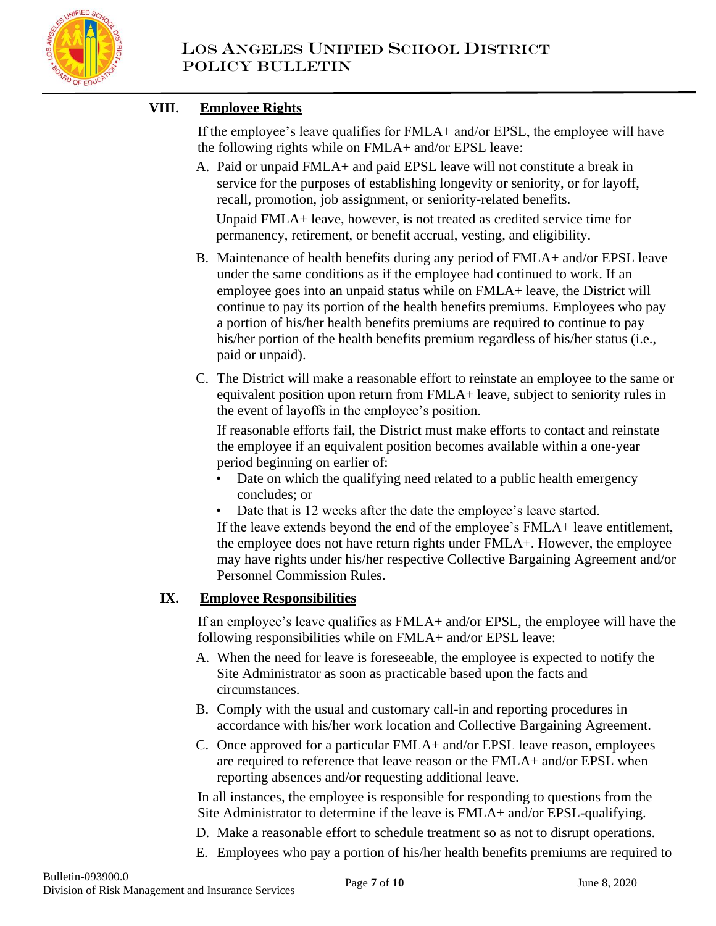

# **VIII. Employee Rights**

If the employee's leave qualifies for FMLA+ and/or EPSL, the employee will have the following rights while on FMLA+ and/or EPSL leave:

A. Paid or unpaid FMLA+ and paid EPSL leave will not constitute a break in service for the purposes of establishing longevity or seniority, or for layoff, recall, promotion, job assignment, or seniority-related benefits.

Unpaid FMLA+ leave, however, is not treated as credited service time for permanency, retirement, or benefit accrual, vesting, and eligibility.

- B. Maintenance of health benefits during any period of FMLA+ and/or EPSL leave under the same conditions as if the employee had continued to work. If an employee goes into an unpaid status while on FMLA+ leave, the District will continue to pay its portion of the health benefits premiums. Employees who pay a portion of his/her health benefits premiums are required to continue to pay his/her portion of the health benefits premium regardless of his/her status (i.e., paid or unpaid).
- C. The District will make a reasonable effort to reinstate an employee to the same or equivalent position upon return from FMLA+ leave, subject to seniority rules in the event of layoffs in the employee's position.

If reasonable efforts fail, the District must make efforts to contact and reinstate the employee if an equivalent position becomes available within a one-year period beginning on earlier of:

- Date on which the qualifying need related to a public health emergency concludes; or
- Date that is 12 weeks after the date the employee's leave started.

If the leave extends beyond the end of the employee's FMLA+ leave entitlement, the employee does not have return rights under FMLA+. However, the employee may have rights under his/her respective Collective Bargaining Agreement and/or Personnel Commission Rules.

## **IX. Employee Responsibilities**

If an employee's leave qualifies as FMLA+ and/or EPSL, the employee will have the following responsibilities while on FMLA+ and/or EPSL leave:

- A. When the need for leave is foreseeable, the employee is expected to notify the Site Administrator as soon as practicable based upon the facts and circumstances.
- B. Comply with the usual and customary call-in and reporting procedures in accordance with his/her work location and Collective Bargaining Agreement.
- C. Once approved for a particular FMLA+ and/or EPSL leave reason, employees are required to reference that leave reason or the FMLA+ and/or EPSL when reporting absences and/or requesting additional leave.

In all instances, the employee is responsible for responding to questions from the Site Administrator to determine if the leave is FMLA+ and/or EPSL-qualifying.

- D. Make a reasonable effort to schedule treatment so as not to disrupt operations.
- E. Employees who pay a portion of his/her health benefits premiums are required to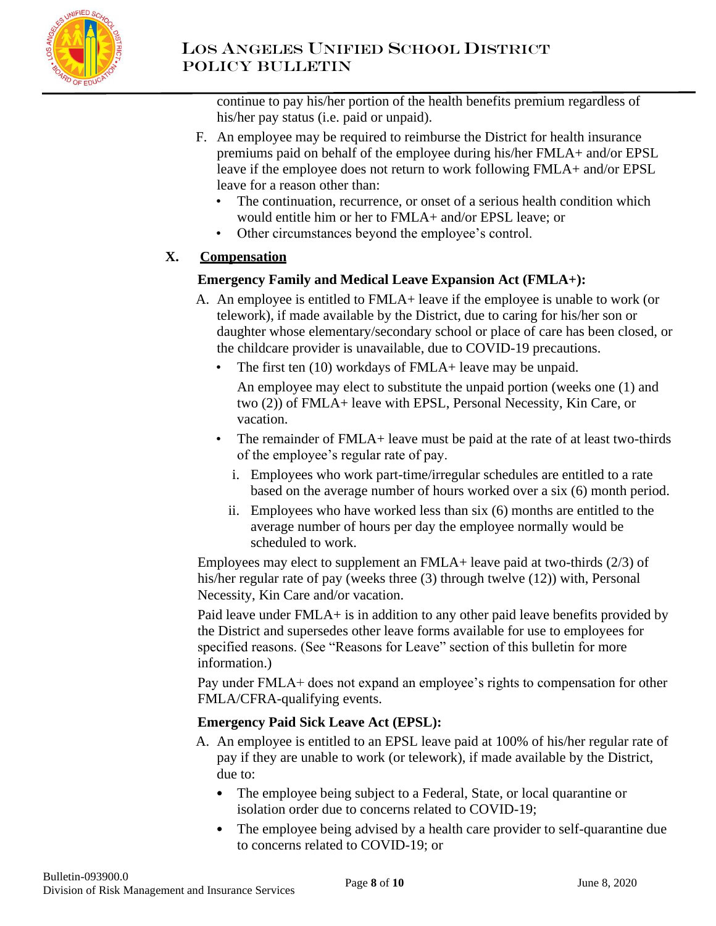

continue to pay his/her portion of the health benefits premium regardless of his/her pay status (i.e. paid or unpaid).

- F. An employee may be required to reimburse the District for health insurance premiums paid on behalf of the employee during his/her FMLA+ and/or EPSL leave if the employee does not return to work following FMLA+ and/or EPSL leave for a reason other than:
	- The continuation, recurrence, or onset of a serious health condition which would entitle him or her to FMLA+ and/or EPSL leave; or
	- Other circumstances beyond the employee's control.

# **X. Compensation**

# **Emergency Family and Medical Leave Expansion Act (FMLA+):**

- A. An employee is entitled to FMLA+ leave if the employee is unable to work (or telework), if made available by the District, due to caring for his/her son or daughter whose elementary/secondary school or place of care has been closed, or the childcare provider is unavailable, due to COVID-19 precautions.
	- The first ten (10) workdays of FMLA+ leave may be unpaid.

An employee may elect to substitute the unpaid portion (weeks one (1) and two (2)) of FMLA+ leave with EPSL, Personal Necessity, Kin Care, or vacation.

- The remainder of FMLA+ leave must be paid at the rate of at least two-thirds of the employee's regular rate of pay.
	- i. Employees who work part-time/irregular schedules are entitled to a rate based on the average number of hours worked over a six (6) month period.
	- ii. Employees who have worked less than six (6) months are entitled to the average number of hours per day the employee normally would be scheduled to work.

Employees may elect to supplement an FMLA+ leave paid at two-thirds (2/3) of his/her regular rate of pay (weeks three (3) through twelve (12)) with, Personal Necessity, Kin Care and/or vacation.

Paid leave under FMLA+ is in addition to any other paid leave benefits provided by the District and supersedes other leave forms available for use to employees for specified reasons. (See "Reasons for Leave" section of this bulletin for more information.)

Pay under FMLA+ does not expand an employee's rights to compensation for other FMLA/CFRA-qualifying events.

# **Emergency Paid Sick Leave Act (EPSL):**

- A. An employee is entitled to an EPSL leave paid at 100% of his/her regular rate of pay if they are unable to work (or telework), if made available by the District, due to:
	- The employee being subject to a Federal, State, or local quarantine or isolation order due to concerns related to COVID-19;
	- The employee being advised by a health care provider to self-quarantine due to concerns related to COVID-19; or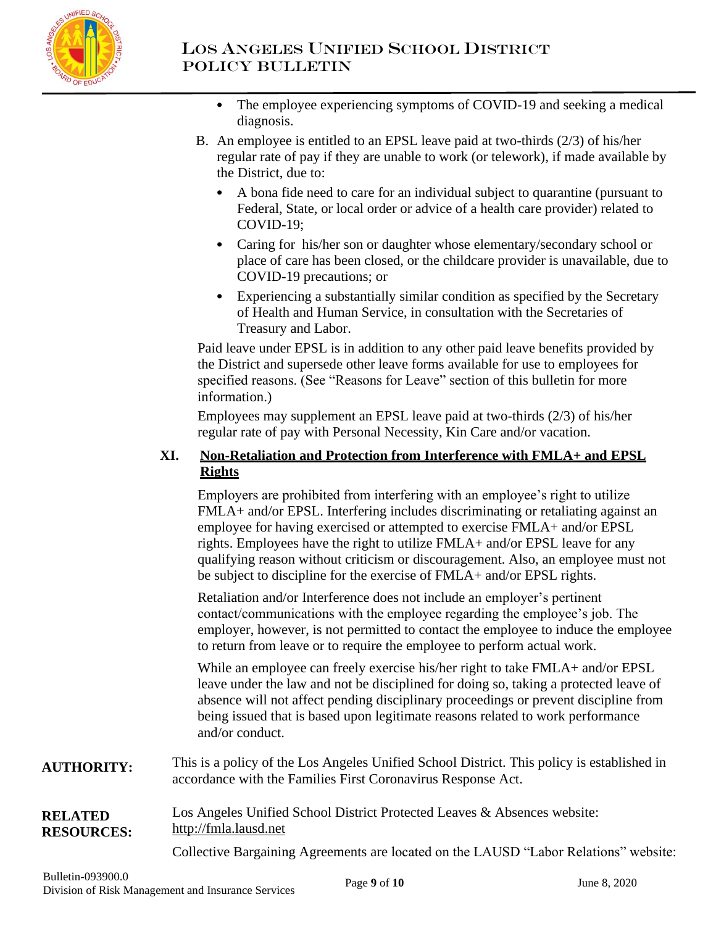

- The employee experiencing symptoms of COVID-19 and seeking a medical diagnosis.
- B. An employee is entitled to an EPSL leave paid at two-thirds (2/3) of his/her regular rate of pay if they are unable to work (or telework), if made available by the District, due to:
	- A bona fide need to care for an individual subject to quarantine (pursuant to Federal, State, or local order or advice of a health care provider) related to COVID-19;
	- Caring for his/her son or daughter whose elementary/secondary school or place of care has been closed, or the childcare provider is unavailable, due to COVID-19 precautions; or
	- Experiencing a substantially similar condition as specified by the Secretary of Health and Human Service, in consultation with the Secretaries of Treasury and Labor.

Paid leave under EPSL is in addition to any other paid leave benefits provided by the District and supersede other leave forms available for use to employees for specified reasons. (See "Reasons for Leave" section of this bulletin for more information.)

Employees may supplement an EPSL leave paid at two-thirds (2/3) of his/her regular rate of pay with Personal Necessity, Kin Care and/or vacation.

## **XI. Non-Retaliation and Protection from Interference with FMLA+ and EPSL Rights**

Employers are prohibited from interfering with an employee's right to utilize FMLA+ and/or EPSL. Interfering includes discriminating or retaliating against an employee for having exercised or attempted to exercise FMLA+ and/or EPSL rights. Employees have the right to utilize FMLA+ and/or EPSL leave for any qualifying reason without criticism or discouragement. Also, an employee must not be subject to discipline for the exercise of FMLA+ and/or EPSL rights.

Retaliation and/or Interference does not include an employer's pertinent contact/communications with the employee regarding the employee's job. The employer, however, is not permitted to contact the employee to induce the employee to return from leave or to require the employee to perform actual work.

While an employee can freely exercise his/her right to take FMLA+ and/or EPSL leave under the law and not be disciplined for doing so, taking a protected leave of absence will not affect pending disciplinary proceedings or prevent discipline from being issued that is based upon legitimate reasons related to work performance and/or conduct.

**AUTHORITY:** This is a policy of the Los Angeles Unified School District. This policy is established in accordance with the Families First Coronavirus Response Act.

**RELATED RESOURCES:** Los Angeles Unified School District Protected Leaves & Absences website: [http://fmla.lausd.net](http://fmla.lausd.net/)

Collective Bargaining Agreements are located on the LAUSD "Labor Relations" website: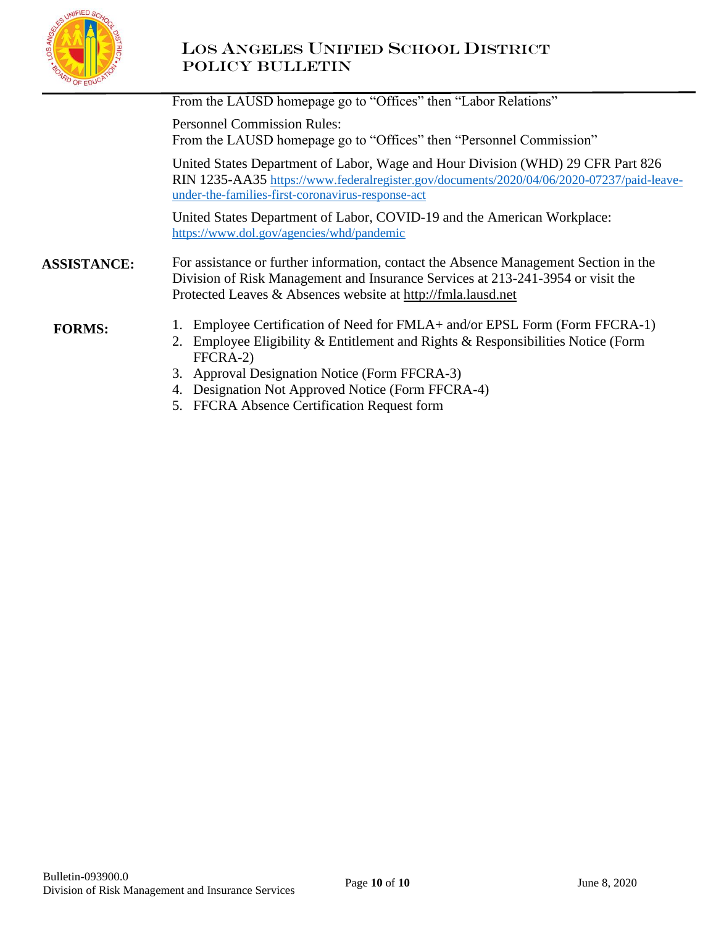

# LOS ANGELES UNIFIED SCHOOL DISTRICT Policy Bulletin

|                    | From the LAUSD homepage go to "Offices" then "Labor Relations"                                                                                                                                                                          |
|--------------------|-----------------------------------------------------------------------------------------------------------------------------------------------------------------------------------------------------------------------------------------|
|                    | <b>Personnel Commission Rules:</b><br>From the LAUSD homepage go to "Offices" then "Personnel Commission"                                                                                                                               |
|                    | United States Department of Labor, Wage and Hour Division (WHD) 29 CFR Part 826<br>RIN 1235-AA35 https://www.federalregister.gov/documents/2020/04/06/2020-07237/paid-leave-<br>under-the-families-first-coronavirus-response-act       |
|                    | United States Department of Labor, COVID-19 and the American Workplace:<br>https://www.dol.gov/agencies/whd/pandemic                                                                                                                    |
| <b>ASSISTANCE:</b> | For assistance or further information, contact the Absence Management Section in the<br>Division of Risk Management and Insurance Services at 213-241-3954 or visit the<br>Protected Leaves & Absences website at http://fmla.lausd.net |
| <b>FORMS:</b>      | 1. Employee Certification of Need for FMLA+ and/or EPSL Form (Form FFCRA-1)<br>2. Employee Eligibility & Entitlement and Rights & Responsibilities Notice (Form<br>FFCRA-2)                                                             |
|                    | 3. Approval Designation Notice (Form FFCRA-3)<br>4. Designation Not Approved Notice (Form FFCRA-4)                                                                                                                                      |

5. FFCRA Absence Certification Request form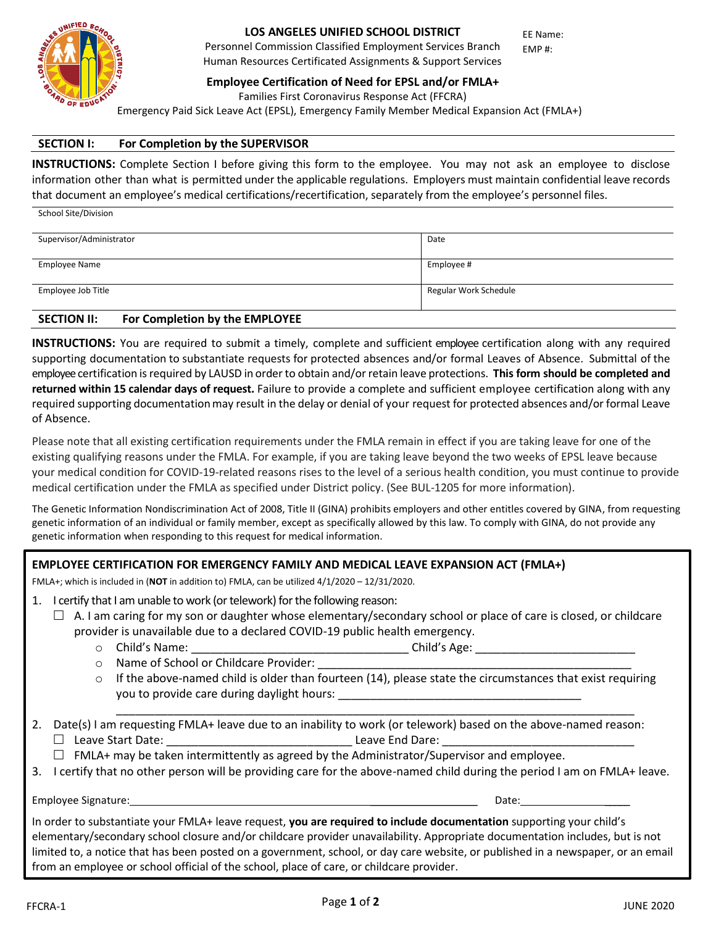

Personnel Commission Classified Employment Services Branch Human Resources Certificated Assignments & Support Services EE Name: EMP #:

**Employee Certification of Need for EPSL and/or FMLA+**

Families First Coronavirus Response Act (FFCRA)

Emergency Paid Sick Leave Act (EPSL), Emergency Family Member Medical Expansion Act (FMLA+)

#### **SECTION I: For Completion by the SUPERVISOR**

**INSTRUCTIONS:** Complete Section I before giving this form to the employee. You may not ask an employee to disclose information other than what is permitted under the applicable regulations. Employers must maintain confidential leave records that document an employee's medical certifications/recertification, separately from the employee's personnel files.

| School Site/Division     |                       |
|--------------------------|-----------------------|
| Supervisor/Administrator | Date                  |
| <b>Employee Name</b>     | Employee #            |
| Employee Job Title       | Regular Work Schedule |

#### **SECTION II: For Completion by the EMPLOYEE**

**INSTRUCTIONS:** You are required to submit a timely, complete and sufficient employee certification along with any required supporting documentation to substantiate requests for protected absences and/or formal Leaves of Absence. Submittal of the employee certification isrequired by LAUSD in orderto obtain and/or retain leave protections. **This form should be completed and returned within 15 calendar days of request.** Failure to provide a complete and sufficient employee certification along with any required supporting documentationmay result in the delay or denial of your request for protected absences and/or formal Leave of Absence.

Please note that all existing certification requirements under the FMLA remain in effect if you are taking leave for one of the existing qualifying reasons under the FMLA. For example, if you are taking leave beyond the two weeks of EPSL leave because your medical condition for COVID-19-related reasons rises to the level of a serious health condition, you must continue to provide medical certification under the FMLA as specified under District policy. (See BUL-1205 for more information).

The Genetic Information Nondiscrimination Act of 2008, Title II (GINA) prohibits employers and other entitles covered by GINA, from requesting genetic information of an individual or family member, except as specifically allowed by this law. To comply with GINA, do not provide any genetic information when responding to this request for medical information.

|    | <b>EMPLOYEE CERTIFICATION FOR EMERGENCY FAMILY AND MEDICAL LEAVE EXPANSION ACT (FMLA+)</b>                                                                                                                                                                                                                                                                                                                                                                                           |
|----|--------------------------------------------------------------------------------------------------------------------------------------------------------------------------------------------------------------------------------------------------------------------------------------------------------------------------------------------------------------------------------------------------------------------------------------------------------------------------------------|
|    | FMLA+; which is included in (NOT in addition to) FMLA, can be utilized $4/1/2020 - 12/31/2020$ .                                                                                                                                                                                                                                                                                                                                                                                     |
| 1. | I certify that I am unable to work (or telework) for the following reason:<br>A. I am caring for my son or daughter whose elementary/secondary school or place of care is closed, or childcare<br>$\perp$<br>provider is unavailable due to a declared COVID-19 public health emergency.                                                                                                                                                                                             |
|    |                                                                                                                                                                                                                                                                                                                                                                                                                                                                                      |
|    |                                                                                                                                                                                                                                                                                                                                                                                                                                                                                      |
|    | If the above-named child is older than fourteen (14), please state the circumstances that exist requiring<br>$\circ$                                                                                                                                                                                                                                                                                                                                                                 |
|    | 2. Date(s) I am requesting FMLA+ leave due to an inability to work (or telework) based on the above-named reason:                                                                                                                                                                                                                                                                                                                                                                    |
|    | $\Box$ FMLA+ may be taken intermittently as agreed by the Administrator/Supervisor and employee.                                                                                                                                                                                                                                                                                                                                                                                     |
|    | 3. I certify that no other person will be providing care for the above-named child during the period I am on FMLA+ leave.                                                                                                                                                                                                                                                                                                                                                            |
|    | Date: the contract of the contract of the contract of the contract of the contract of the contract of the contract of the contract of the contract of the contract of the contract of the contract of the contract of the cont                                                                                                                                                                                                                                                       |
|    | In order to substantiate your FMLA+ leave request, you are required to include documentation supporting your child's<br>elementary/secondary school closure and/or childcare provider unavailability. Appropriate documentation includes, but is not<br>limited to, a notice that has been posted on a government, school, or day care website, or published in a newspaper, or an email<br>from an employee or school official of the school, place of care, or childcare provider. |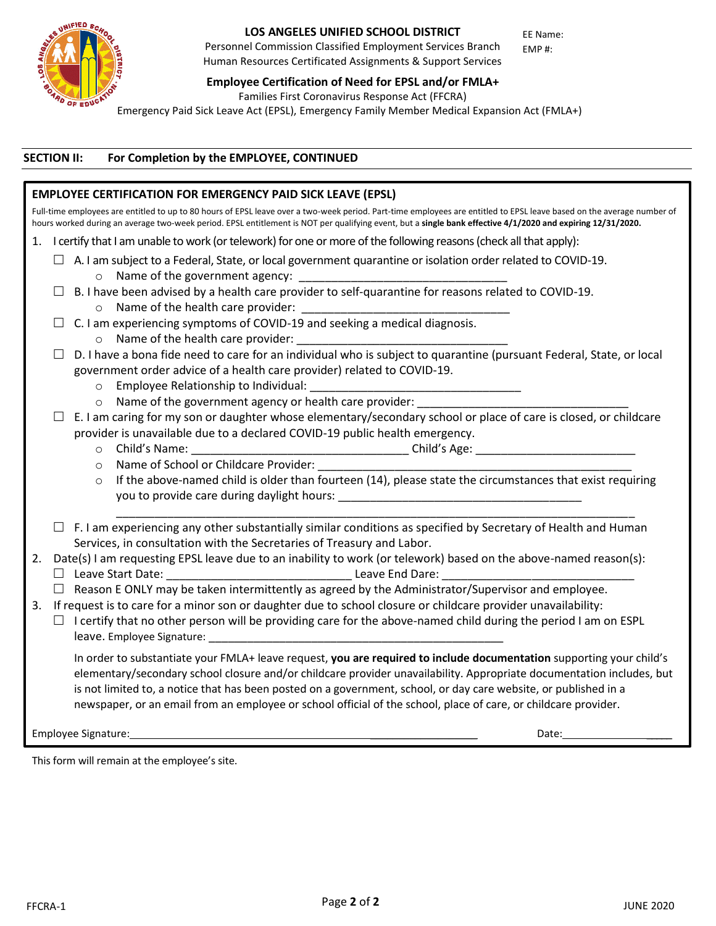

Personnel Commission Classified Employment Services Branch Human Resources Certificated Assignments & Support Services

**Employee Certification of Need for EPSL and/or FMLA+**

EE Name: EMP #:

Families First Coronavirus Response Act (FFCRA)

Emergency Paid Sick Leave Act (EPSL), Emergency Family Member Medical Expansion Act (FMLA+)

### **SECTION II: For Completion by the EMPLOYEE, CONTINUED**

|         | <b>EMPLOYEE CERTIFICATION FOR EMERGENCY PAID SICK LEAVE (EPSL)</b>                                                                                                                                                                                                                                                                                                                                                                                                                   |
|---------|--------------------------------------------------------------------------------------------------------------------------------------------------------------------------------------------------------------------------------------------------------------------------------------------------------------------------------------------------------------------------------------------------------------------------------------------------------------------------------------|
|         | Full-time employees are entitled to up to 80 hours of EPSL leave over a two-week period. Part-time employees are entitled to EPSL leave based on the average number of<br>hours worked during an average two-week period. EPSL entitlement is NOT per qualifying event, but a single bank effective 4/1/2020 and expiring 12/31/2020.                                                                                                                                                |
|         | 1. I certify that I am unable to work (or telework) for one or more of the following reasons (check all that apply):                                                                                                                                                                                                                                                                                                                                                                 |
|         | $\Box$ A. I am subject to a Federal, State, or local government quarantine or isolation order related to COVID-19.                                                                                                                                                                                                                                                                                                                                                                   |
|         |                                                                                                                                                                                                                                                                                                                                                                                                                                                                                      |
|         |                                                                                                                                                                                                                                                                                                                                                                                                                                                                                      |
|         |                                                                                                                                                                                                                                                                                                                                                                                                                                                                                      |
|         |                                                                                                                                                                                                                                                                                                                                                                                                                                                                                      |
|         |                                                                                                                                                                                                                                                                                                                                                                                                                                                                                      |
|         | D. I have a bona fide need to care for an individual who is subject to quarantine (pursuant Federal, State, or local                                                                                                                                                                                                                                                                                                                                                                 |
|         | government order advice of a health care provider) related to COVID-19.                                                                                                                                                                                                                                                                                                                                                                                                              |
|         |                                                                                                                                                                                                                                                                                                                                                                                                                                                                                      |
|         | o Name of the government agency or health care provider:                                                                                                                                                                                                                                                                                                                                                                                                                             |
|         | E. I am caring for my son or daughter whose elementary/secondary school or place of care is closed, or childcare                                                                                                                                                                                                                                                                                                                                                                     |
|         | provider is unavailable due to a declared COVID-19 public health emergency.                                                                                                                                                                                                                                                                                                                                                                                                          |
|         |                                                                                                                                                                                                                                                                                                                                                                                                                                                                                      |
|         | o Name of School or Childcare Provider: ___                                                                                                                                                                                                                                                                                                                                                                                                                                          |
| $\circ$ | If the above-named child is older than fourteen (14), please state the circumstances that exist requiring                                                                                                                                                                                                                                                                                                                                                                            |
|         |                                                                                                                                                                                                                                                                                                                                                                                                                                                                                      |
|         | $\Box$ F. I am experiencing any other substantially similar conditions as specified by Secretary of Health and Human<br>Services, in consultation with the Secretaries of Treasury and Labor.                                                                                                                                                                                                                                                                                        |
| 2.      | Date(s) I am requesting EPSL leave due to an inability to work (or telework) based on the above-named reason(s):                                                                                                                                                                                                                                                                                                                                                                     |
|         | $\Box$ Reason E ONLY may be taken intermittently as agreed by the Administrator/Supervisor and employee.                                                                                                                                                                                                                                                                                                                                                                             |
| 3.      | If request is to care for a minor son or daughter due to school closure or childcare provider unavailability:                                                                                                                                                                                                                                                                                                                                                                        |
|         | $\Box$ I certify that no other person will be providing care for the above-named child during the period I am on ESPL<br>leave. Employee Signature: example and the state of the state of the state of the state of the state of the state of the state of the state of the state of the state of the state of the state of the state of the state of t                                                                                                                              |
|         | In order to substantiate your FMLA+ leave request, you are required to include documentation supporting your child's<br>elementary/secondary school closure and/or childcare provider unavailability. Appropriate documentation includes, but<br>is not limited to, a notice that has been posted on a government, school, or day care website, or published in a<br>newspaper, or an email from an employee or school official of the school, place of care, or childcare provider. |
|         | Employee Signature: Management of the Contract of the Contract of the Contract of the Contract of the Contract of the Contract of the Contract of the Contract of the Contract of the Contract of the Contract of the Contract<br>Date: $\sqrt{ }$                                                                                                                                                                                                                                   |

This form will remain at the employee's site.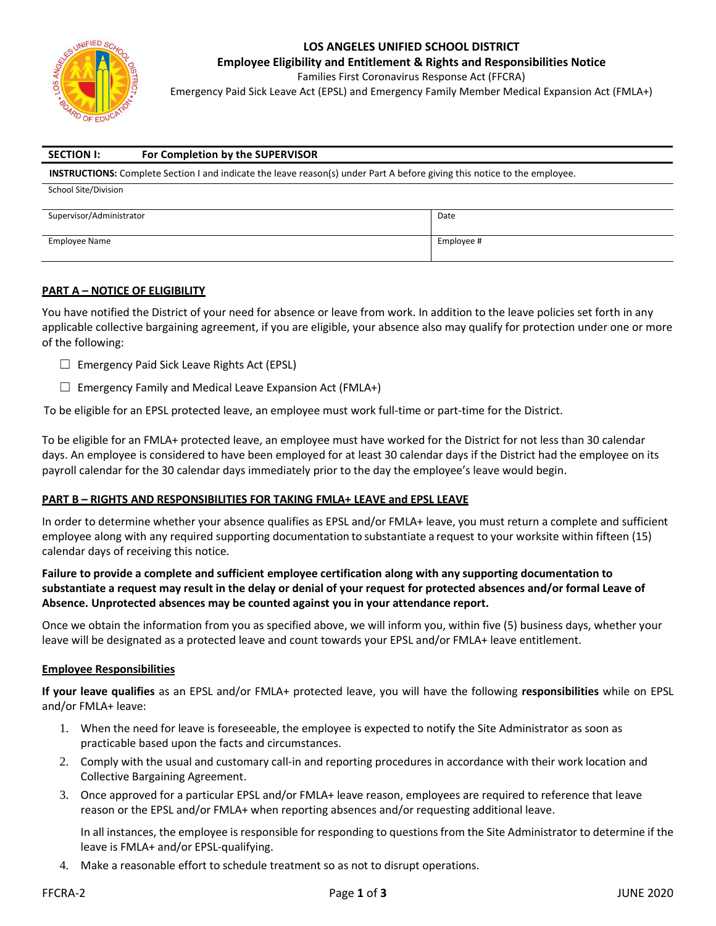

**Employee Eligibility and Entitlement & Rights and Responsibilities Notice**

Families First Coronavirus Response Act (FFCRA)

Emergency Paid Sick Leave Act (EPSL) and Emergency Family Member Medical Expansion Act (FMLA+)

| <b>SECTION I:</b>                                                                                                                | For Completion by the SUPERVISOR |      |  |  |
|----------------------------------------------------------------------------------------------------------------------------------|----------------------------------|------|--|--|
| <b>INSTRUCTIONS:</b> Complete Section I and indicate the leave reason(s) under Part A before giving this notice to the employee. |                                  |      |  |  |
| School Site/Division                                                                                                             |                                  |      |  |  |
|                                                                                                                                  |                                  |      |  |  |
| Supervisor/Administrator                                                                                                         |                                  | Date |  |  |

Employee Name Employee #

#### **PART A – NOTICE OF ELIGIBILITY**

You have notified the District of your need for absence or leave from work. In addition to the leave policies set forth in any applicable collective bargaining agreement, if you are eligible, your absence also may qualify for protection under one or more of the following:

- ☐ Emergency Paid Sick Leave Rights Act (EPSL)
- $\Box$  Emergency Family and Medical Leave Expansion Act (FMLA+)

To be eligible for an EPSL protected leave, an employee must work full-time or part-time for the District.

To be eligible for an FMLA+ protected leave, an employee must have worked for the District for not less than 30 calendar days. An employee is considered to have been employed for at least 30 calendar days if the District had the employee on its payroll calendar for the 30 calendar days immediately prior to the day the employee's leave would begin.

#### **PART B – RIGHTS AND RESPONSIBILITIES FOR TAKING FMLA+ LEAVE and EPSL LEAVE**

In order to determine whether your absence qualifies as EPSL and/or FMLA+ leave, you must return a complete and sufficient employee along with any required supporting documentation to substantiate a request to your worksite within fifteen (15) calendar days of receiving this notice.

**Failure to provide a complete and sufficient employee certification along with any supporting documentation to substantiate a request may result in the delay or denial of your request for protected absences and/or formal Leave of Absence. Unprotected absences may be counted against you in your attendance report.**

Once we obtain the information from you as specified above, we will inform you, within five (5) business days, whether your leave will be designated as a protected leave and count towards your EPSL and/or FMLA+ leave entitlement.

#### **Employee Responsibilities**

**If your leave qualifies** as an EPSL and/or FMLA+ protected leave, you will have the following **responsibilities** while on EPSL and/or FMLA+ leave:

- 1. When the need for leave is foreseeable, the employee is expected to notify the Site Administrator as soon as practicable based upon the facts and circumstances.
- 2. Comply with the usual and customary call-in and reporting procedures in accordance with their work location and Collective Bargaining Agreement.
- 3. Once approved for a particular EPSL and/or FMLA+ leave reason, employees are required to reference that leave reason or the EPSL and/or FMLA+ when reporting absences and/or requesting additional leave.

In all instances, the employee is responsible for responding to questions from the Site Administrator to determine if the leave is FMLA+ and/or EPSL-qualifying.

4. Make a reasonable effort to schedule treatment so as not to disrupt operations.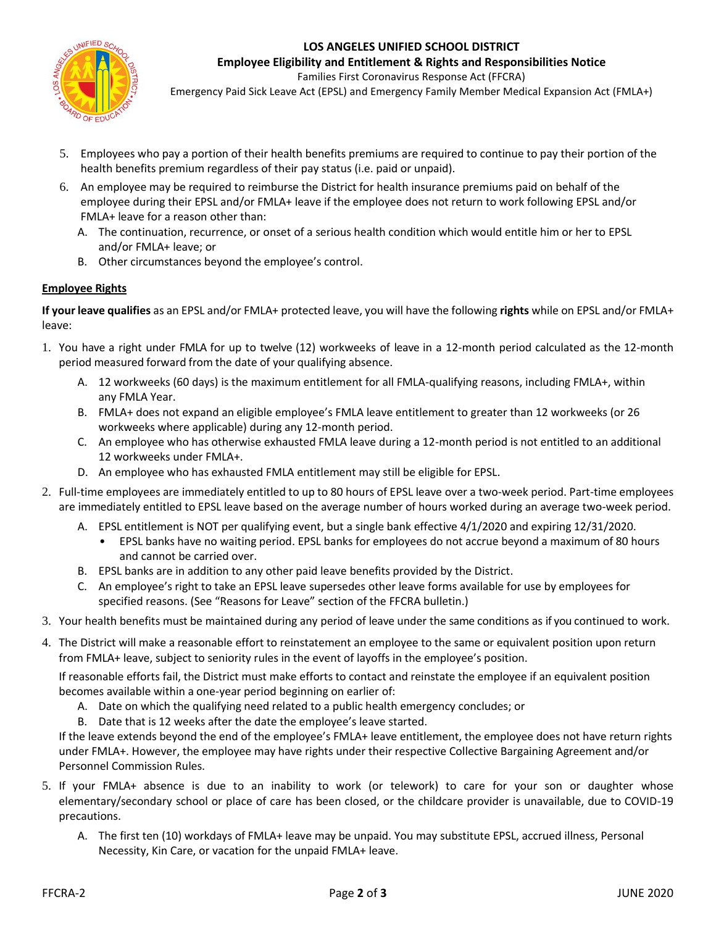

**Employee Eligibility and Entitlement & Rights and Responsibilities Notice** Families First Coronavirus Response Act (FFCRA)

Emergency Paid Sick Leave Act (EPSL) and Emergency Family Member Medical Expansion Act (FMLA+)

- 5. Employees who pay a portion of their health benefits premiums are required to continue to pay their portion of the health benefits premium regardless of their pay status (i.e. paid or unpaid).
- 6. An employee may be required to reimburse the District for health insurance premiums paid on behalf of the employee during their EPSL and/or FMLA+ leave if the employee does not return to work following EPSL and/or FMLA+ leave for a reason other than:
	- A. The continuation, recurrence, or onset of a serious health condition which would entitle him or her to EPSL and/or FMLA+ leave; or
	- B. Other circumstances beyond the employee's control.

### **Employee Rights**

**If your leave qualifies** as an EPSL and/or FMLA+ protected leave, you will have the following **rights** while on EPSL and/or FMLA+ leave:

- 1. You have a right under FMLA for up to twelve (12) workweeks of leave in a 12-month period calculated as the 12-month period measured forward from the date of your qualifying absence.
	- A. 12 workweeks (60 days) is the maximum entitlement for all FMLA-qualifying reasons, including FMLA+, within any FMLA Year.
	- B. FMLA+ does not expand an eligible employee's FMLA leave entitlement to greater than 12 workweeks (or 26 workweeks where applicable) during any 12-month period.
	- C. An employee who has otherwise exhausted FMLA leave during a 12-month period is not entitled to an additional 12 workweeks under FMLA+.
	- D. An employee who has exhausted FMLA entitlement may still be eligible for EPSL.
- 2. Full-time employees are immediately entitled to up to 80 hours of EPSL leave over a two-week period. Part-time employees are immediately entitled to EPSL leave based on the average number of hours worked during an average two-week period.
	- A. EPSL entitlement is NOT per qualifying event, but a single bank effective 4/1/2020 and expiring 12/31/2020.
		- EPSL banks have no waiting period. EPSL banks for employees do not accrue beyond a maximum of 80 hours and cannot be carried over.
	- B. EPSL banks are in addition to any other paid leave benefits provided by the District.
	- C. An employee's right to take an EPSL leave supersedes other leave forms available for use by employees for specified reasons. (See "Reasons for Leave" section of the FFCRA bulletin.)
- 3. Your health benefits must be maintained during any period of leave under the same conditions as if you continued to work.
- 4. The District will make a reasonable effort to reinstatement an employee to the same or equivalent position upon return from FMLA+ leave, subject to seniority rules in the event of layoffs in the employee's position.

If reasonable efforts fail, the District must make efforts to contact and reinstate the employee if an equivalent position becomes available within a one-year period beginning on earlier of:

- A. Date on which the qualifying need related to a public health emergency concludes; or
- B. Date that is 12 weeks after the date the employee's leave started.

If the leave extends beyond the end of the employee's FMLA+ leave entitlement, the employee does not have return rights under FMLA+. However, the employee may have rights under their respective Collective Bargaining Agreement and/or Personnel Commission Rules.

- 5. If your FMLA+ absence is due to an inability to work (or telework) to care for your son or daughter whose elementary/secondary school or place of care has been closed, or the childcare provider is unavailable, due to COVID-19 precautions.
	- A. The first ten (10) workdays of FMLA+ leave may be unpaid. You may substitute EPSL, accrued illness, Personal Necessity, Kin Care, or vacation for the unpaid FMLA+ leave.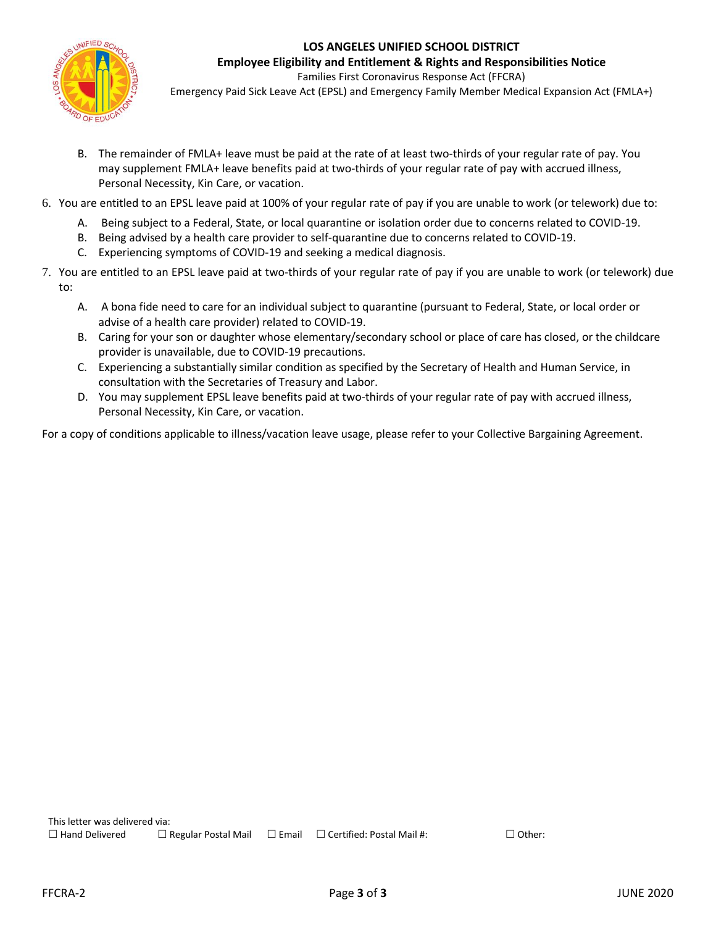

**Employee Eligibility and Entitlement & Rights and Responsibilities Notice** Families First Coronavirus Response Act (FFCRA)

Emergency Paid Sick Leave Act (EPSL) and Emergency Family Member Medical Expansion Act (FMLA+)

- B. The remainder of FMLA+ leave must be paid at the rate of at least two-thirds of your regular rate of pay. You may supplement FMLA+ leave benefits paid at two-thirds of your regular rate of pay with accrued illness, Personal Necessity, Kin Care, or vacation.
- 6. You are entitled to an EPSL leave paid at 100% of your regular rate of pay if you are unable to work (or telework) due to:
	- A. Being subject to a Federal, State, or local quarantine or isolation order due to concerns related to COVID-19.
	- B. Being advised by a health care provider to self-quarantine due to concerns related to COVID-19.
	- C. Experiencing symptoms of COVID-19 and seeking a medical diagnosis.
- 7. You are entitled to an EPSL leave paid at two-thirds of your regular rate of pay if you are unable to work (or telework) due to:
	- A. A bona fide need to care for an individual subject to quarantine (pursuant to Federal, State, or local order or advise of a health care provider) related to COVID-19.
	- B. Caring for your son or daughter whose elementary/secondary school or place of care has closed, or the childcare provider is unavailable, due to COVID-19 precautions.
	- C. Experiencing a substantially similar condition as specified by the Secretary of Health and Human Service, in consultation with the Secretaries of Treasury and Labor.
	- D. You may supplement EPSL leave benefits paid at two-thirds of your regular rate of pay with accrued illness, Personal Necessity, Kin Care, or vacation.

For a copy of conditions applicable to illness/vacation leave usage, please refer to your Collective Bargaining Agreement.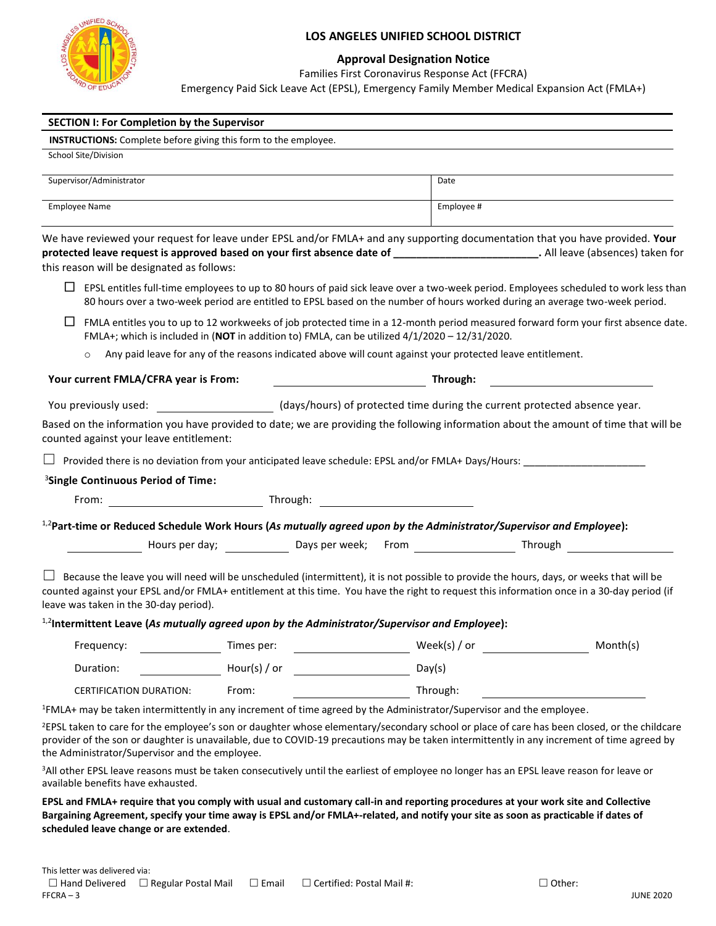

#### **Approval Designation Notice**

Families First Coronavirus Response Act (FFCRA)

Emergency Paid Sick Leave Act (EPSL), Emergency Family Member Medical Expansion Act (FMLA+)

| <b>SECTION I: For Completion by the Supervisor</b>                                                                                                                                                                                                                                                                                                      |                                                                           |        |                                       |          |
|---------------------------------------------------------------------------------------------------------------------------------------------------------------------------------------------------------------------------------------------------------------------------------------------------------------------------------------------------------|---------------------------------------------------------------------------|--------|---------------------------------------|----------|
| <b>INSTRUCTIONS:</b> Complete before giving this form to the employee.                                                                                                                                                                                                                                                                                  |                                                                           |        |                                       |          |
| School Site/Division                                                                                                                                                                                                                                                                                                                                    |                                                                           |        |                                       |          |
| Supervisor/Administrator                                                                                                                                                                                                                                                                                                                                |                                                                           |        | Date                                  |          |
| Employee Name                                                                                                                                                                                                                                                                                                                                           |                                                                           |        | Employee #                            |          |
| We have reviewed your request for leave under EPSL and/or FMLA+ and any supporting documentation that you have provided. Your<br>protected leave request is approved based on your first absence date of _______________________________. All leave (absences) taken for<br>this reason will be designated as follows:                                  |                                                                           |        |                                       |          |
| EPSL entitles full-time employees to up to 80 hours of paid sick leave over a two-week period. Employees scheduled to work less than<br>ப<br>80 hours over a two-week period are entitled to EPSL based on the number of hours worked during an average two-week period.                                                                                |                                                                           |        |                                       |          |
| FMLA entitles you to up to 12 workweeks of job protected time in a 12-month period measured forward form your first absence date.<br>ப<br>FMLA+; which is included in (NOT in addition to) FMLA, can be utilized $4/1/2020 - 12/31/2020$ .                                                                                                              |                                                                           |        |                                       |          |
| Any paid leave for any of the reasons indicated above will count against your protected leave entitlement.<br>$\circ$                                                                                                                                                                                                                                   |                                                                           |        |                                       |          |
| Your current FMLA/CFRA year is From:                                                                                                                                                                                                                                                                                                                    |                                                                           |        | <b>Example 2018 Through:</b> Through: |          |
| You previously used:                                                                                                                                                                                                                                                                                                                                    | (days/hours) of protected time during the current protected absence year. |        |                                       |          |
| Based on the information you have provided to date; we are providing the following information about the amount of time that will be<br>counted against your leave entitlement:<br>Provided there is no deviation from your anticipated leave schedule: EPSL and/or FMLA+ Days/Hours:                                                                   |                                                                           |        |                                       |          |
| <sup>3</sup> Single Continuous Period of Time:                                                                                                                                                                                                                                                                                                          |                                                                           |        |                                       |          |
|                                                                                                                                                                                                                                                                                                                                                         |                                                                           |        |                                       |          |
| $1/2$ Part-time or Reduced Schedule Work Hours (As mutually agreed upon by the Administrator/Supervisor and Employee):                                                                                                                                                                                                                                  |                                                                           |        |                                       |          |
| Mours per day; Nours per day; Nourse 2014 and Says per week; From Nourse 2014 2014 2015 2016 2017 2018 2019 20                                                                                                                                                                                                                                          |                                                                           |        |                                       |          |
| Because the leave you will need will be unscheduled (intermittent), it is not possible to provide the hours, days, or weeks that will be<br>counted against your EPSL and/or FMLA+ entitlement at this time. You have the right to request this information once in a 30-day period (if<br>leave was taken in the 30-day period).                       |                                                                           |        |                                       |          |
| $^{1,2}$ Intermittent Leave (As mutually agreed upon by the Administrator/Supervisor and Employee):                                                                                                                                                                                                                                                     |                                                                           |        |                                       |          |
| Frequency:                                                                                                                                                                                                                                                                                                                                              | Times per:                                                                |        | Week(s) / or                          | Month(s) |
| Duration:                                                                                                                                                                                                                                                                                                                                               | Hour(s) / or                                                              | Day(s) |                                       |          |
| CERTIFICATION DURATION:                                                                                                                                                                                                                                                                                                                                 | From:                                                                     |        | Through:                              |          |
| <sup>1</sup> FMLA+ may be taken intermittently in any increment of time agreed by the Administrator/Supervisor and the employee.                                                                                                                                                                                                                        |                                                                           |        |                                       |          |
| <sup>2</sup> EPSL taken to care for the employee's son or daughter whose elementary/secondary school or place of care has been closed, or the childcare<br>provider of the son or daughter is unavailable, due to COVID-19 precautions may be taken intermittently in any increment of time agreed by<br>the Administrator/Supervisor and the employee. |                                                                           |        |                                       |          |
| <sup>3</sup> All other EPSL leave reasons must be taken consecutively until the earliest of employee no longer has an EPSL leave reason for leave or<br>available benefits have exhausted.                                                                                                                                                              |                                                                           |        |                                       |          |

**EPSL and FMLA+ require that you comply with usual and customary call-in and reporting procedures at your work site and Collective Bargaining Agreement, specify your time away is EPSL and/or FMLA+-related, and notify your site as soon as practicable if dates of scheduled leave change or are extended**.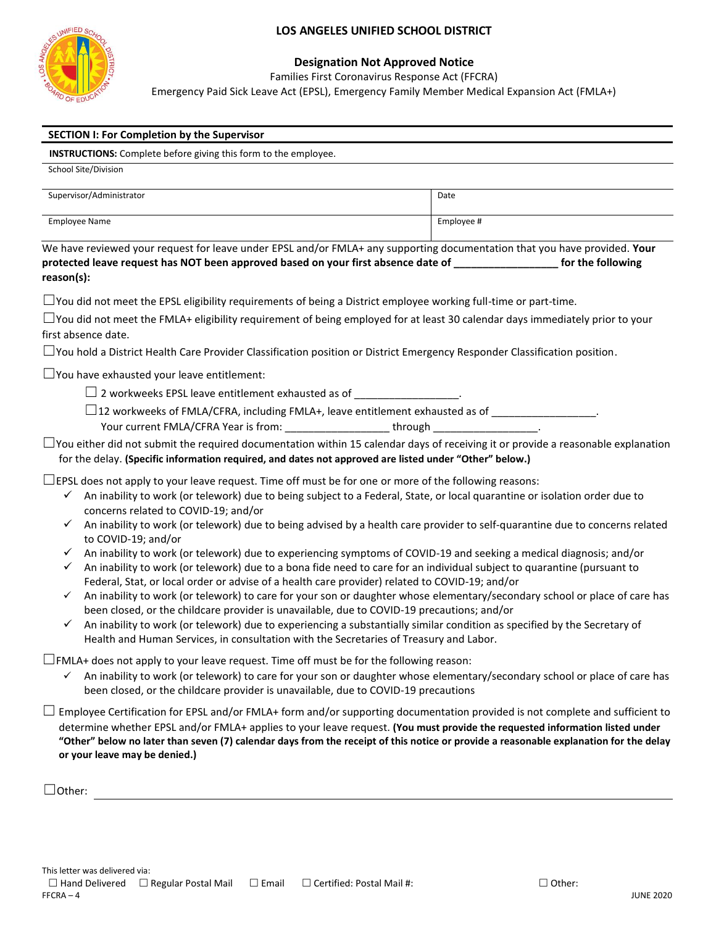

School Site/Division

#### **LOS ANGELES UNIFIED SCHOOL DISTRICT**

#### **Designation Not Approved Notice**

Families First Coronavirus Response Act (FFCRA)

Emergency Paid Sick Leave Act (EPSL), Emergency Family Member Medical Expansion Act (FMLA+)

| <b>SECTION I: For Completion by the Supervisor</b> |  |
|----------------------------------------------------|--|
|----------------------------------------------------|--|

 **INSTRUCTIONS:** Complete before giving this form to the employee.

| $5c$ , $5c$ , $5c$ , $5c$ , $5c$ , $5c$ , $5c$ , $5c$ , $5c$ , $5c$ , $5c$ , $5c$ , $5c$ , $5c$ , $5c$ , $5c$ , $5c$ , $5c$ , $5c$ , $5c$ , |            |
|---------------------------------------------------------------------------------------------------------------------------------------------|------------|
| Supervisor/Administrator                                                                                                                    | Date       |
| Employee Name                                                                                                                               | Employee # |

We have reviewed your request for leave under EPSL and/or FMLA+ any supporting documentation that you have provided. **Your protected leave request has NOT been approved based on your first absence date of \_\_\_\_\_\_\_\_\_\_\_\_\_\_\_\_\_\_ for the following reason(s):** 

 $\Box$  You did not meet the EPSL eligibility requirements of being a District employee working full-time or part-time.

| $\Box$ You did not meet the FMLA+ eligibility requirement of being employed for at least 30 calendar days immediately prior to your |
|-------------------------------------------------------------------------------------------------------------------------------------|
| first absence date.                                                                                                                 |

 $\Box$ You hold a District Health Care Provider Classification position or District Emergency Responder Classification position.

 $\Box$  You have exhausted your leave entitlement:

 $\Box$  2 workweeks EPSL leave entitlement exhausted as of

 $\Box$ 12 workweeks of FMLA/CFRA, including FMLA+, leave entitlement exhausted as of  $\Box$ 

Your current FMLA/CFRA Year is from: \_\_\_\_\_\_\_\_\_\_\_\_\_\_\_\_\_\_\_\_\_\_\_\_\_\_through

 $\Box$ You either did not submit the required documentation within 15 calendar days of receiving it or provide a reasonable explanation

#### for the delay. **(Specific information required, and dates not approved are listed under "Other" below.)**

 $\Box$ EPSL does not apply to your leave request. Time off must be for one or more of the following reasons:

- ✓ An inability to work (or telework) due to being subject to a Federal, State, or local quarantine or isolation order due to concerns related to COVID-19; and/or
- $\checkmark$  An inability to work (or telework) due to being advised by a health care provider to self-quarantine due to concerns related to COVID-19; and/or
- $\checkmark$  An inability to work (or telework) due to experiencing symptoms of COVID-19 and seeking a medical diagnosis; and/or
- ✓ An inability to work (or telework) due to a bona fide need to care for an individual subject to quarantine (pursuant to Federal, Stat, or local order or advise of a health care provider) related to COVID-19; and/or
- ✓ An inability to work (or telework) to care for your son or daughter whose elementary/secondary school or place of care has been closed, or the childcare provider is unavailable, due to COVID-19 precautions; and/or
- An inability to work (or telework) due to experiencing a substantially similar condition as specified by the Secretary of Health and Human Services, in consultation with the Secretaries of Treasury and Labor.

 $\Box$ FMLA+ does not apply to your leave request. Time off must be for the following reason:

An inability to work (or telework) to care for your son or daughter whose elementary/secondary school or place of care has been closed, or the childcare provider is unavailable, due to COVID-19 precautions

 $\Box$  Employee Certification for EPSL and/or FMLA+ form and/or supporting documentation provided is not complete and sufficient to determine whether EPSL and/or FMLA+ applies to your leave request. **(You must provide the requested information listed under "Other" below no later than seven (7) calendar days from the receipt of this notice or provide a reasonable explanation for the delay or your leave may be denied.)**

☐Other: